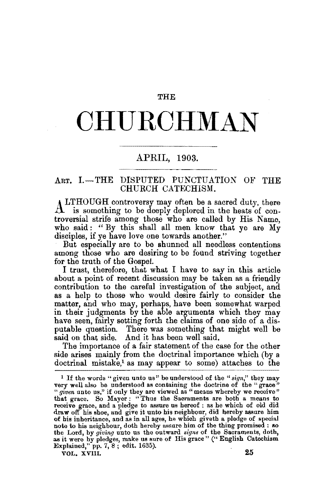### **THE**

# **OHU.ROHMAN**

## APRIL, 1903.

## ART. I.-THE DISPUTED PUNCTUATION OF THE CHURCH CATECHISM.

LTHOUGH controversy may often be a sacred duty, there  $A$  is something to be deeply deplored in the heats of controversial strife among those who are called by His Name, who said: "By this shall all men know that ye are My disciples, if ye have love one towards another."

But especially are to be shunned all needless contentions among those who are desiring to be found striving together for the truth of the Gospel.

I trust, therefore, that what I have to say in this article about a point of recent discussion may be taken as a friendly contribution to the careful investigation of the subject, and as a help to those who would desire fairly to consider the matter, and who may, perhaps, have been somewhat warped in their judgments by the able arguments which they may have seen, fairly setting forth the claims of one side of a disputable question. There was something that might well be said on that side. And it has been well said.

The importance of a fair statement of the case for the other side arises mainly from the doctrinal importance which (by a  $d$ octrinal mistake,<sup>1</sup> as may appear to some) attaches to the

<sup>&</sup>lt;sup>1</sup> If the words "given unto us" be understood of the " $sign$ " they may very well also be understood as containing the doctrine of the "grace" "  $given$  unto us," if only they are viewed as "means whereby we receive" that grace. So Mayer : "Thus the Sacraments are both a means to receive grace, and a pledge to assure us hereof : as he which of old did draw off his shoe, and give it unto his neighbour, did hereby assure him of his inheritance, and as in all ages, he which giveth a pledge of special the Lord, by giving unto us the outward signs of the Sacraments, doth, as it were by pledges, make us sure of His grace" ("English Catechism Explained," pp. 7, 8; edit. 1635). VOL. XVIII. 25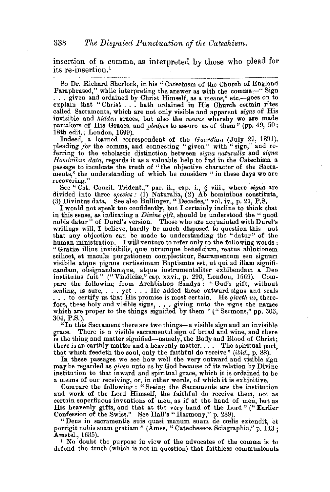#### 338 The Disputed Punctuation of the Catechism.

insertion of a comma, as interpreted by those who plead for its re-insertion.1

So Dr. Richard Sherlock, in his "Catechism of the Church of England Paraphrased," while interpreting the answer as with the comma-" Sign . . . given and ordained by Christ Himself, as a means," etc.-goes on to explain that "Christ . . . hath ordained in His Church certain rites called Sacraments, which are not only visible and apparent *signs* of His invisible and *hidden* graces, but also the *means* whereby we are made partakers of His Graces, and *pledges* to assure us of them" (pp. 49, 50; 18th edit.; London, 1699).

Indeed, a learned correspondent of the *Guardian* (July 29, 1891), pleading for the comma, and connecting "given" with "sign," and referring to the scholastic distinction between *signa naturalia* and *signa Hominibus data*, regards it as a valuable help to find in the Catechism a passage to inculcate the truth of "the objective character of the Sacra-<br>ments," the understanding of which he considers "in these days we are

recovering."<br>See "Cat. Concil. Trident.," par. ii., cap. i., § viii., where *signa* are<br>divided into three *species*: (1) Naturalia, (2) Ab hominibus constituta, (3) Divintus data. See also Bullinger, "Decades," vol. iv., p. 27, P.S.

I would not speak too confidently, but I certainly incline to think that in this sense, as indicating a *Divine gift,* should be understood the "quod nobis datur" of Durel's version. Those who are acquainted with Durel's writings will, I believe, hardly be much disposed to question this-not that any objection can be made to understanding the "datur" of the human ministration. I will venture to refer only to the following words: "Gratiæ illius invisibilis, quæ utrumque beneficium, reatus ablutionem scilicet, et maculæ purgationem complectitur, Sacramentum seu signum visibile atque pignus certissimum Baptismus est, ut qui ad illam significandam, obsignandamque, atque instrumentaliter exhibendam a Deo institutus fuit" ("Vindiciæ," cap. xxvi., p. 290, London, 1669). Compare the following from Archbishop Sandys : " God's gift, without sealing, is sure, . . . yet . . . He added these outward signs and seals . . . to certify us that His promise is most certain. He *giveth us*, therefore, these holy and visible signs, ... giving unto the signs the names which are proper to the things signified by them" ("Sermons," pp. 303, 304, P.S.).

"In this Sacrament there are two things-a visible sign and an invisible grace. There is a visible sacramental sign of bread and wine, and there There is a visible sacramental sign of bread and wine, and there is the thing and matter signified-namely, tho Body and Blood of Christ; there is an earthly matter and a heavenly matter. . . . The spiritual part, that which feedeth the soul, only the faithful do receive" *(ibid.,* p. 88).

In these passages we see how well the very outward and visible sign may be regarded as *given* unto us by God because of its relation by Divine institution to that inward and spiritual grace, which it is ordained to be a means of our receiving, or, in other words, of which it is exhibitive.

Compare the following : "Seeing the Sacraments are the institution and work of the Lord Himself, the faithful do receive them, not as certain superfluous inventions of men, as if at the hand of men, but as His heavenly gifts, and that at the very hand of the Lord" ("Earlier Confession of the Swiss." See Hall's "Harmony," p. 289).

"Deus in sacramentis suis quasi manum suam de cœlis extendit, et porrigit nobis suam gratiam " (Åmes, "Catecheseos Sciagraphia," p. 143 ;<br>Amstel., 1635).

 $\mu$  No doubt the purpose in view of the advocates of the comma is to defend the truth (which is not in question) that faithless communicants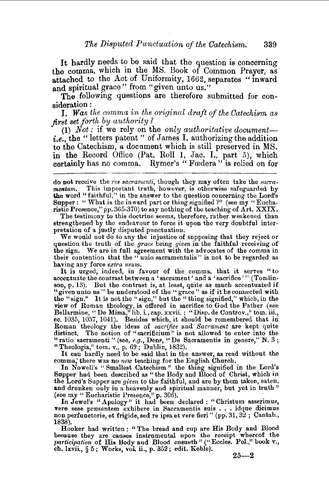It hardly needs to be said that the question is concerning the comma, which in the MS. Book of Common Prayer, as attached to the Act of Uniformity, 1662, separates "inward and spiritual grace" from "given unto us."

The following questions are therefore submitted for consideration :

I. *Was the comma in the original draft of the Catechism as first set forth* by *authority?* 

(1) *Not:* if we rely on the *only authoritative documenti.e.,* the " letters patent " of James I. authorizing the addition to the Catechism, a document which is still preserved in MS. in the Record Office (Pat. Roll 1, Jac. I., part 5), which certainly has no comma. Rymer's "Fredera" is relied on for

The testimony to this doctrine seems, therefore, rather weakened than strengthened by the endeavour to force it upon the very doubtful interpretation of a justly disputed punctuation.<br>We would not do to any the injustice of supposing that they reject or

question the truth of the *grace* being *given* in the faithful receiving of the sign. We are in full agreement with the advocates of the comma in their contention that the " unio sacramentalis" is not to be regarded as having any force *extra usum.* 

It is urged, indeed, in favour of the comma, that it serves "to accentuate the contrast between a 'sacrament' and a 'sacrifice'" (Tomlinson, p. 13). But the contrast is, at least, quite as much accentuated if "given unto us" be understood of the "grace" as if it be connected with the "sign." It is not the "sign," but the "thing signified," which, in the view of Roman theology, is offered in sacrifice to God the Father (see Bellarmine, "De Missa," lib. i., cap. xxvii. ; "Disp. de Controv.," tom. iii., cc. 1035, 1037, 1041). Besides which, it should be remembered that in Roman theology the ideas of *sacrifice* and *Sacrament* are kept quite distinct. The notion of "sacrificium" is not allowed to enter into the "ratio sacramenti" (see, e.g., Dens, "De Sacramentis in genere," N. 3; "Theologia," tom. v., p.  $69$ ; Dublin, 1832).

It can hardly need to be said that in the answer, as read without the comma; there was no *new* teaching for the English Church.

In Nowell's " Smallest Catechism " the thing signified in the Lord's Supper had been described as "the Body and Blood of Christ, which in the Lord's Supper are *given* to the faithful, and are by them taken, eaten, and drunken only in a heavenly and spiritual manner, but yet in truth" (see my "Eucharistic Presence," p. 306).<br>In Jewel's "Apology" it had been declared : "Christum asserimus,

vere sese præsentem exhibere in Sacramentis suis . . . idque dicimus<br>non perfunctorie, et frigide, sed re ipsa et vere fieri " (pp. 31, 32 ; Cantab., 1838).

Hooker had written : "The bread and cup are His Body and Blood because they are causes instrumental upon the receipt whereof the *participation* o£ His Body and Blood ensueth" ("Eccles. Pol.," book v., cb. lxvii., § 5; Works, vol ii., p. 352; edit. Keble).

 $25 - 2$ 

do not receive the *res sacramenti*, though they may often take the *sacra*. *mentum.* This important truth, however, is otherwise safeguarded by the word "faithful," in the answer to the question concerning the Lord's Supper: "What is the inward part or thing signified?" (see my "Eucharistic Presence," pp. 365-370) to say nothing of the teaching of Art. XXIX.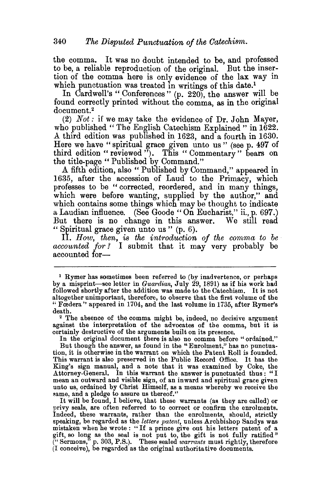the comma. It was no doubt intended to be, and professed to be, a reliable reproduction of the original. But the insertion of the comma here is only evidence of the lax way in which punctuation was treated in writings of this date.<sup>1</sup>

In Cardwell's "Conferences" (p. 220), the answer will be found correctly printed without the comma, as in the original document.<sup>2</sup>

(2) *Not:* if we may take the evidence of Dr. John Mayer, who published "The English Catechism Explained" in 1622. A third edition was published in 1623, and a fourth in 1630. Here we have "spiritual grace given unto us" (see p. 497 of third edition "reviewed"). This "Commentary" bears on the title-page " Published by Command."

A fifth edition, also "Published by Command," appeared in 1635, after the accession of Laud to the Primacy, which professes to be " corrected, reordered, and in many things, which were before wanting, supplied by the author," and which contains some things which may be thought to indicate a Laudian influence. (See Goode "On Eucharist," ii., p. 697.) But there is no change in this answer. We still read " Spiritual grace given unto us " (p. 6).

II. *How, then, is the introduction of the comma to be accounted for?* I submit that it may very probably be accounted for-

In the original document there is also no comma before "ordained." But though the answer, as found in the "Enrolment," has no punctuation, it is otherwise in the warrant on which the Patent Roll is founded. This warrant is also preserved in the Public Record Office. It has the King's sign manual, and a note that it was examined by Coke, the Attorney-General. In this warrant the answer is punctuated thus : "I mean an outward and visible sign, of an inward and spiritual grace given unto us, ordained by Christ Himself, as a means whereby we receive the same, and a pledge to assure us thereof."

It will be found, I believe, that these warrants (as they are called) or privy seals, are often referred to to correct or confirm the enrolments. Indeed, these warrants, rather than the enrolments, should, strictly speaking, be regarded as the *letters patent,* unless Archbishop Sandys was mistaken when he wrote : "If a prince give out his letters patent of a gift, so long as the seal is not put to, the gift is not fully ratified" ("Sermons," p. 303, P.S.). These sealed *warrants* must rightly, therefore (I conceive), be regarded as the original authoritative documents.

<sup>1</sup>Rymer has sometimes been referred to (by inadvertence, or perhaps by a misprint-see letter in *Guardian*, July 29, 1891) as if his work had followed shortly after the addition was made to the Catechism. It is not altogether unimportant, therefore, to observe that the first volume of the " Fœdera" appeared in 1704, and the last volume in 1735, after Rymer's death.

<sup>&</sup>lt;sup>2</sup> The absence of the comma might be, indeed, no decisive argument against the interpretation of the advocates of the comma, but it is certainly destructive of the arguments built on its presence.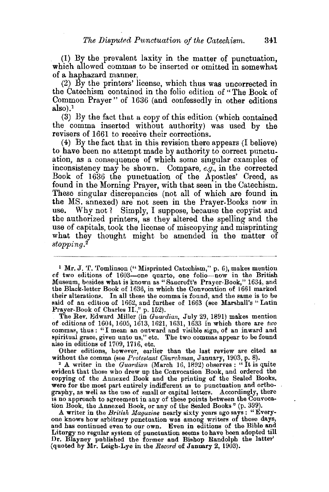. (1) By the prevalent laxity in the matter of punctuation, which allowed commas to be inserted or omitted in somewhat of a haphazard manner.

(2) By the printers' iicense, which thus was uncorrected in the Catechism contained in the folio edition of" The Book of Common Prayer" of 1636 (and confessedly in other editions  $also$ ).<sup>1</sup>

(3) By the fact that a copy of this edition (which contained the comma inserted without authority) was used by the revisers of 1661 to receive their corrections.

(4) By the fact that in this revision there appears (I believe) to have been no attempt made by authority to correct punctuation, as a consequence of which some singular examples of inconsistency may be shown. Compare, *e.g.,* in the corrected Book of 1636 the punctuation of the Apostles' Creed, as found in the Morning Prayer, with that seen in the Catechism. These singular discrepancies (not all of which are found in the MS. annexed) are not seen in the Prayer-Books now in use. Why not ? Simply, I suppose, because the copyist and the authorized printers, as they altered the spelling and the use of capitals, took the license of miscopying and misprinting what they thought might be amended in the matter of *stopping. <sup>2</sup>*

<sup>1</sup> Mr. J. T. Tomlinson ("Misprinted Catechism," p. 6), makes mention of two editions of 1603-one quarto, one folio-now in the British Museum, besides what is known as "Bancroft's Prayer-Book," 1634, and the Black-letter Book of 1636, in which the Convocation of 1661 marked their alterations. In all these the comma is found, and the same is to be said of an edition of 1662, and further of 1663 (see Marshall's "Latin Prayer-Book of Charles II.," p. 152).

The Rev. Edward Miller (in *Guardian*, July 29, 1891) makes mention of editions of 1604, 1605, 1613, 1621, 1631, 1633 in which there are *two* commas, thus : "I mean an outward and visible sign, of an inward and spiritual grace, given unto us," etc. The two commas appear to be found

also in editions of 1709, 1716, etc.<br>Other editions, however, earlier than the last review are cited as

without the comma (see *Protestant Churchman*, January, 1903, p. 8). <sup>2</sup> A writer in the *Guardian* (March 16, 1892) observes: "It is quite evident that those who drew up the Convocation Book, and ordered the copying of the Annexed Book and the printing of the Sealed Books, were for the most part entirely indifferent as to punctuation and orthography, as well as the use of small or capital letters. Accordingly, there is no approach to agreement in any of these points between the Convocation Book, the Annexed Book, or any of the Sealed Books" (p. 399).<br>A writer in the British Magazine nearly sixty years ago says: "Every-

A writer in the *British Magazine* nearly sixty years ago says: "Every-<br>one knows how arbitrary punctuation was among writers of those days, and has continued even to our own. Even in editions of the Bible and Liturgy no regular system of punctuation seems to have been adopted till Dr. Blayney published the former and Bishop Randolph the latter' (quoted by Mr. Leigh-Lye in the *Record* of January 2, 1903).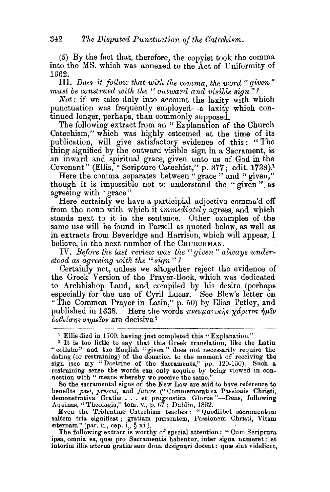(5) By the fact that, therefore, the copyist took the comma into the MS. which was annexed to the Act of Uniformity of 1662.

III. Does it follow that with the comma, the word " given" must be construed with the "outward and visible sign"?

*Not:* if we take duly into account the laxity with which punctuation was frequently employed-a laxity which continued longer, perhaps, than commonly supposed.

The following extract from an "Explanation of the Church Catechism," which was highly esteemed at the time of its publication, will give satisfactory evidence of this: "The thing signified by the outward visible sign in a Sacrament, is an inward and spiritual grace, given unto us of God in the Covenant" (Ellis, "Scripture Catechist," p. 377; edit. 1738).1

Here the comma separates between "grace" and "given," though it is impossible not to understand the "given" as agreeing with "grace."

Here certainly we have a participial adjective comma'd off from the noun with which it *immediately* agrees, and which stands next to it in the sentence. Other examples of the same use will be found in Parsell as quoted below, as well as in extracts from Beveridge and Harrison, which will appear, I believe, in the next number of the CHURCHMAN.

IV. Before the last review was the "given" always under*stood as ag'reeing with the* " *sign* " *?* 

Certainly not, unless we altogether reject the evidence of the Greek Version of the Prayer-Book, which was dedicated to Archbishop Laud, and compiled by his desire (perhaps especially for the use of Cyril Lucar. See Blew's letter on "The Common Prayer in Latin," p. 50) by Elias Petley, and published in 1638. Here the words  $\pi\nu e \nu \mu a \tau \mu \kappa \gamma \gamma \alpha \rho \nu \tau \sigma \gamma \gamma \mu \nu \nu$ published in 1638. Hel·e the words *71'V€Up.aTti(,Y]'>* xaptTo<; *f,p.'iv*   $\bar{\delta}$ obeians anuelov are decisive.<sup>2</sup>

benefits *past, present,* and *future* ("Commemorativa Passionis Christi, demonstrativa Gratiæ... et prognostica Gloriæ "-Dens, following Aquinas, " Theologia," tom. v., p. 67; Dublin, 1832.

Even the Tridentine Oatechism teaches : "Quodlibet sacramentum saltem tria significat ; gratiam prresentem, Passionem Christi, Vitam  $r$ eternam" (par. ii., cap. i.,  $\S$  xi.).

The following extract is worthy of special attention : " Cum Scriptura ipsa, omnia ea, quæ pro Sacramentis habentur, inter signa numeret: et interim illis æterna gratiæ suæ dona designari doceat: quæ sint videlicet,

<sup>1</sup>Ellis died in 1700, having just completed this" Explanation." 2 It is too little to say that this Greek translation, like the Latin "collatæ" and the English "given" does not necessarily require the dating (or restraining) of the donation to the moment of receiving the sign (see my "Doctrine of the Sacraments," pp. 120-130). Such a restraining sense the words can only acquire by being viewed in connection with " means whereby we receive the same."<br>So the sacramental signs of the New Law are said to have reference to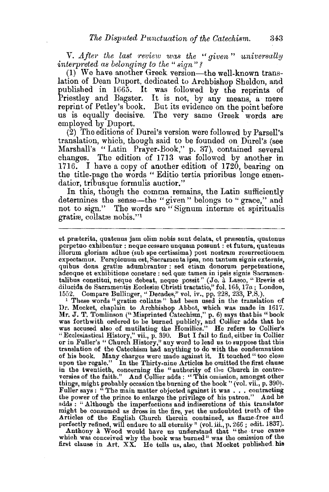V. After the last review was the "given" universally *interpreted as belonging to the "sign"?* 

(1) We have another Greek version-the well-known translation of Dean Duport, dedicated to Archbishop Sheldon, and published in 1665. It was followed by the reprints of Priestley and Bagster. It is not, by any means, a mere reprint of Petley's book. But its evidence on the point before us is equally decisive. The very same Greek words are employed by Duport.

(2) The editions of Durel's version were followed by Parsell's translation, which, though said to be founded on Durel's (see Marshall's " Latin Prayer-Book," p. 37), contained several changes. The edition of 1713 was followed by another in 1716. I have a copy of another edition of 1720, bearing on the title-page the words "Editio tertia prioribus longe emendatior, tribusque formulis auctior."

In this, though the comma remains, the Latin sufficiently determines the sense-the "given" belongs to "grace," and not to sign." The words are "Signum internæ et spiritualis gratiæ, collatæ nobis."<sup>1</sup>

et præterita, quatenus jam olim nobis sunt delata, et præsentia, quatenus perpetuo exhibentur : neque cessare unquam possunt : et futura, quatenus illorum gloriam adhuc (sub spe certissima) post nostram resurrectionem expectamus. Perspicuum est, Sacramenta ipsa, non tantum signis externis, quibus dona gratiæ adumbrantur : sed etiam donorum perpetuatione, adeoque et exhibitione constare : sed quæ tamen in ipsis signis Sacramentalibus constitui, neque debeat, neque possit" (Jo. à Lasco, "Brevis et dilucida de Sacrameutis Ecclesioo Christi tractatio," fol. *l6b,* 17a; London, 1552. Compare Bullinger,'' Decades," vol. iv., pp. 228, 233, P.S.).

<sup>1</sup> These words "gratiæ collatæ" had been used in the translation of Dr. Mocket, chaplain to Archbishop Abbot, which was made in 1617. Mr. J. T. Tomlinson ("Misprinted Catechism," p. 6) says that his "book was forthwith ordered to be burned publicly, and Collier adds that he was accused also of mutilating the Homilies." He refers to Collier's "Ecclesiastical History," vii., p. 390. But I fail to find, either in Collier<br>or in Fuller's " Church History," any word to lead us to suppose that this translation of the Catechism had anything to do with the condemnation of his book. Many charges were made against it. It touched " too close upon the regale." In the Thirty-nine Articles he omitted the first clause in the twentieth, concerning the "authority of the Church in controversies of the faith." And Collier adds: "This omission, amongst other things, might probably occasion the burning of the book " (vol. vii., p. 390). Fuller says : " The main matter objected against it was . . . contracting the power of the prince to enlarge the privilege of his patron." And he adds : " Although the imperfections and indiscretions of this translator might be consumed as dross in the fire, yet the undoubted truth of the Articles of the English Church therein contained, as flame-free and

perfectly refined, will endure to all eternity" (vol. iii., p. 266; edit. 1837).<br>Anthony à Wood would have us understand that "the true cause<br>which was conceived why the book was burned" was the omission of the which was conceived why the book was burned" was the omission of the first clause in  $Art. XX.$  He tells us, also, that Mocket published his